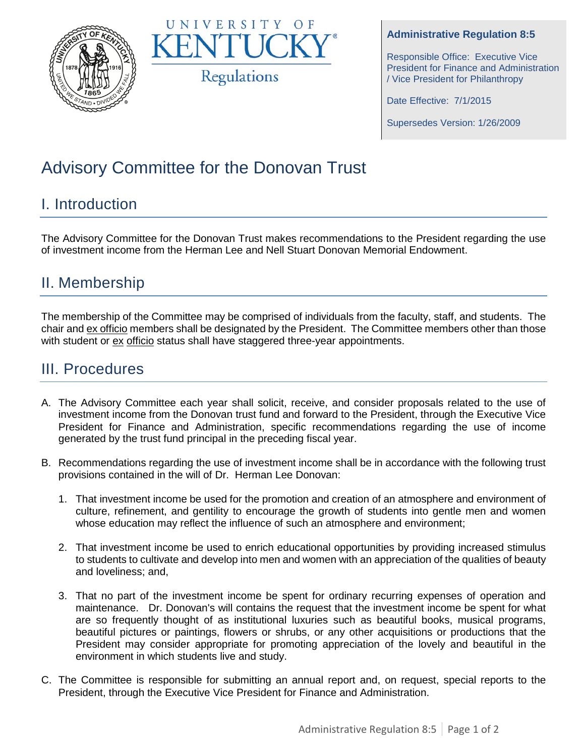



#### **Administrative Regulation 8:5**

Responsible Office: Executive Vice President for Finance and Administration / Vice President for Philanthropy

Date Effective: 7/1/2015

Supersedes Version: 1/26/2009

# Advisory Committee for the Donovan Trust

### I. Introduction

The Advisory Committee for the Donovan Trust makes recommendations to the President regarding the use of investment income from the Herman Lee and Nell Stuart Donovan Memorial Endowment.

#### II. Membership

The membership of the Committee may be comprised of individuals from the faculty, staff, and students. The chair and ex officio members shall be designated by the President. The Committee members other than those with student or ex officio status shall have staggered three-year appointments.

#### III. Procedures

- A. The Advisory Committee each year shall solicit, receive, and consider proposals related to the use of investment income from the Donovan trust fund and forward to the President, through the Executive Vice President for Finance and Administration, specific recommendations regarding the use of income generated by the trust fund principal in the preceding fiscal year.
- B. Recommendations regarding the use of investment income shall be in accordance with the following trust provisions contained in the will of Dr. Herman Lee Donovan:
	- 1. That investment income be used for the promotion and creation of an atmosphere and environment of culture, refinement, and gentility to encourage the growth of students into gentle men and women whose education may reflect the influence of such an atmosphere and environment;
	- 2. That investment income be used to enrich educational opportunities by providing increased stimulus to students to cultivate and develop into men and women with an appreciation of the qualities of beauty and loveliness; and,
	- 3. That no part of the investment income be spent for ordinary recurring expenses of operation and maintenance. Dr. Donovan's will contains the request that the investment income be spent for what are so frequently thought of as institutional luxuries such as beautiful books, musical programs, beautiful pictures or paintings, flowers or shrubs, or any other acquisitions or productions that the President may consider appropriate for promoting appreciation of the lovely and beautiful in the environment in which students live and study.
- C. The Committee is responsible for submitting an annual report and, on request, special reports to the President, through the Executive Vice President for Finance and Administration.